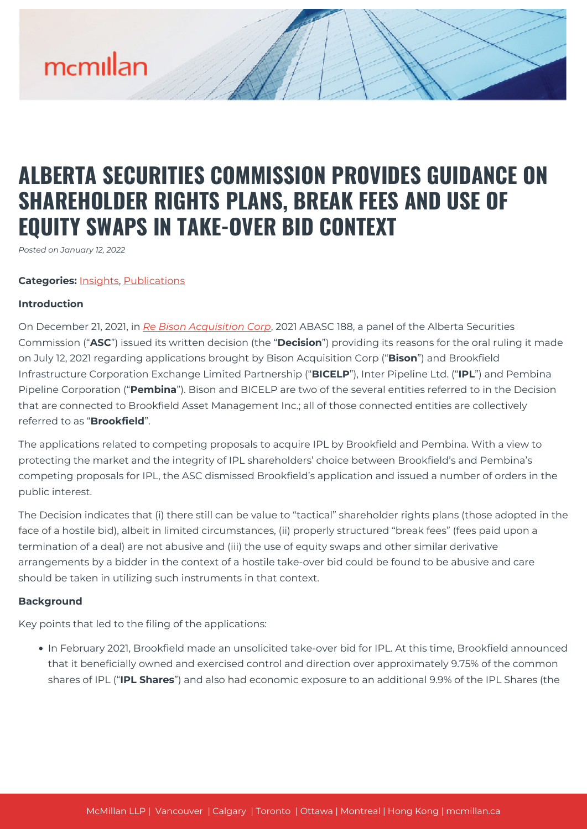### **ALBERTA SECURITIES COMMISSION PROVIDES GUIDANCE ON SHAREHOLDER RIGHTS PLANS, BREAK FEES AND USE OF EQUITY SWAPS IN TAKE-OVER BID CONTEXT**

*Posted on January 12, 2022*

#### **Categories:** [Insights,](https://mcmillan.ca/insights/) [Publications](https://mcmillan.ca/insights/publications/)

#### **Introduction**

On December 21, 2021, in *[Re Bison Acquisition Corp](https://albertasecurities.com/-/media/ASC-Documents-part-1/Notices-Decisions-Orders-Rulings/Issuers/2021/12/20211221-Bison-Acquisition-Corp.ashx)*, 2021 ABASC 188, a panel of the Alberta Securities Commission ("**ASC**") issued its written decision (the "**Decision**") providing its reasons for the oral ruling it made on July 12, 2021 regarding applications brought by Bison Acquisition Corp ("**Bison**") and Brookfield Infrastructure Corporation Exchange Limited Partnership ("**BICELP**"), Inter Pipeline Ltd. ("**IPL**") and Pembina Pipeline Corporation ("**Pembina**"). Bison and BICELP are two of the several entities referred to in the Decision that are connected to Brookfield Asset Management Inc.; all of those connected entities are collectively referred to as "**Brookfield**".

The applications related to competing proposals to acquire IPL by Brookfield and Pembina. With a view to protecting the market and the integrity of IPL shareholders' choice between Brookfield's and Pembina's competing proposals for IPL, the ASC dismissed Brookfield's application and issued a number of orders in the public interest.

The Decision indicates that (i) there still can be value to "tactical" shareholder rights plans (those adopted in the face of a hostile bid), albeit in limited circumstances, (ii) properly structured "break fees" (fees paid upon a termination of a deal) are not abusive and (iii) the use of equity swaps and other similar derivative arrangements by a bidder in the context of a hostile take-over bid could be found to be abusive and care should be taken in utilizing such instruments in that context.

#### **Background**

Key points that led to the filing of the applications:

In February 2021, Brookfield made an unsolicited take-over bid for IPL. At this time, Brookfield announced that it beneficially owned and exercised control and direction over approximately 9.75% of the common shares of IPL ("**IPL Shares**") and also had economic exposure to an additional 9.9% of the IPL Shares (the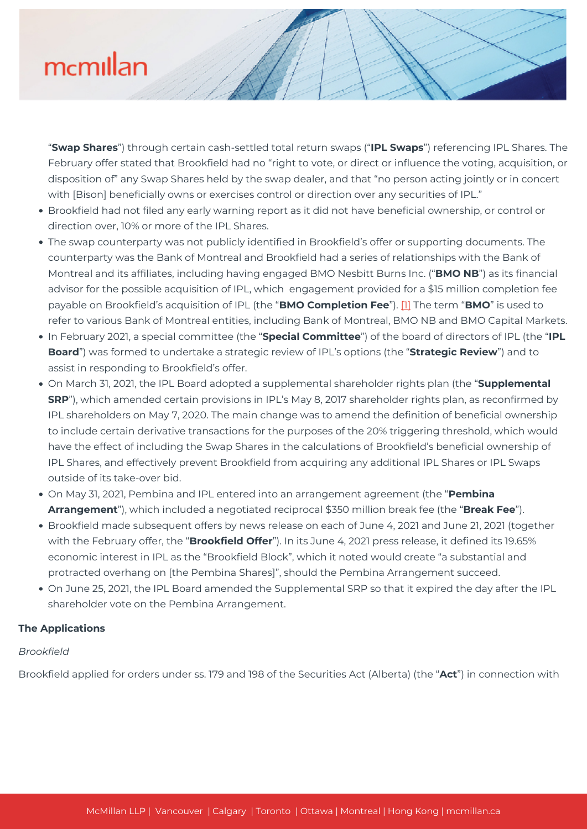"**Swap Shares**") through certain cash-settled total return swaps ("**IPL Swaps**") referencing IPL Shares. The February offer stated that Brookfield had no "right to vote, or direct or influence the voting, acquisition, or disposition of" any Swap Shares held by the swap dealer, and that "no person acting jointly or in concert with [Bison] beneficially owns or exercises control or direction over any securities of IPL."

- Brookfield had not filed any early warning report as it did not have beneficial ownership, or control or direction over, 10% or more of the IPL Shares.
- The swap counterparty was not publicly identified in Brookfield's offer or supporting documents. The counterparty was the Bank of Montreal and Brookfield had a series of relationships with the Bank of Montreal and its affiliates, including having engaged BMO Nesbitt Burns Inc. ("**BMO NB**") as its financial advisor for the possible acquisition of IPL, which engagement provided for a \$15 million completion fee payable on Brookfield's acquisition of IPL (the "**BMO Completion Fee**"). [\[1\]](#page--1-0) The term "**BMO**" is used to refer to various Bank of Montreal entities, including Bank of Montreal, BMO NB and BMO Capital Markets.
- In February 2021, a special committee (the "**Special Committee**") of the board of directors of IPL (the "**IPL Board**") was formed to undertake a strategic review of IPL's options (the "**Strategic Review**") and to assist in responding to Brookfield's offer.
- On March 31, 2021, the IPL Board adopted a supplemental shareholder rights plan (the "**Supplemental SRP**"), which amended certain provisions in IPL's May 8, 2017 shareholder rights plan, as reconfirmed by IPL shareholders on May 7, 2020. The main change was to amend the definition of beneficial ownership to include certain derivative transactions for the purposes of the 20% triggering threshold, which would have the effect of including the Swap Shares in the calculations of Brookfield's beneficial ownership of IPL Shares, and effectively prevent Brookfield from acquiring any additional IPL Shares or IPL Swaps outside of its take-over bid.
- On May 31, 2021, Pembina and IPL entered into an arrangement agreement (the "**Pembina Arrangement**"), which included a negotiated reciprocal \$350 million break fee (the "**Break Fee**").
- Brookfield made subsequent offers by news release on each of June 4, 2021 and June 21, 2021 (together with the February offer, the "**Brookfield Offer**"). In its June 4, 2021 press release, it defined its 19.65% economic interest in IPL as the "Brookfield Block", which it noted would create "a substantial and protracted overhang on [the Pembina Shares]", should the Pembina Arrangement succeed.
- On June 25, 2021, the IPL Board amended the Supplemental SRP so that it expired the day after the IPL shareholder vote on the Pembina Arrangement.

### **The Applications**

### *Brookfield*

Brookfield applied for orders under ss. 179 and 198 of the Securities Act (Alberta) (the "**Act**") in connection with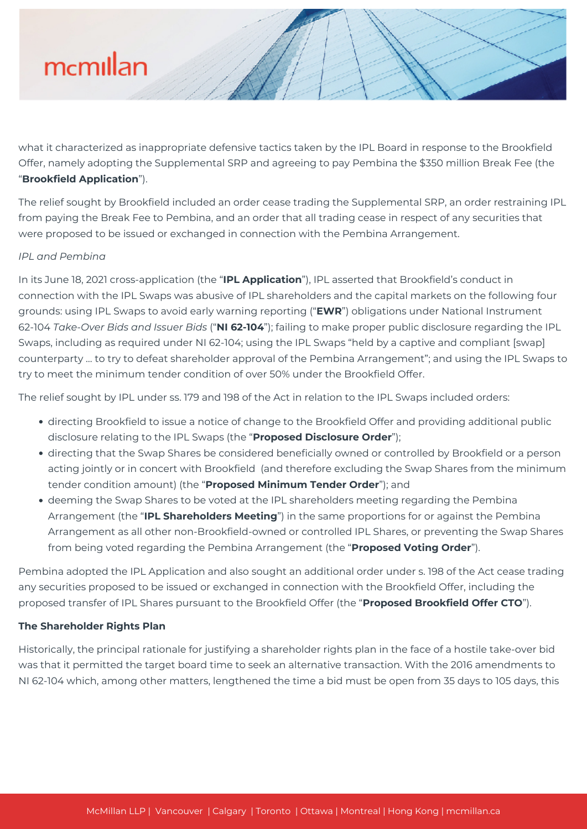what it characterized as inappropriate defensive tactics taken by the IPL Board in response to the Brookfield Offer, namely adopting the Supplemental SRP and agreeing to pay Pembina the \$350 million Break Fee (the "**Brookfield Application**").

The relief sought by Brookfield included an order cease trading the Supplemental SRP, an order restraining IPL from paying the Break Fee to Pembina, and an order that all trading cease in respect of any securities that were proposed to be issued or exchanged in connection with the Pembina Arrangement.

### *IPL and Pembina*

In its June 18, 2021 cross-application (the "**IPL Application**"), IPL asserted that Brookfield's conduct in connection with the IPL Swaps was abusive of IPL shareholders and the capital markets on the following four grounds: using IPL Swaps to avoid early warning reporting ("**EWR**") obligations under National Instrument 62-104 *Take-Over Bids and Issuer Bids* ("**NI 62-104**"); failing to make proper public disclosure regarding the IPL Swaps, including as required under NI 62-104; using the IPL Swaps "held by a captive and compliant [swap] counterparty … to try to defeat shareholder approval of the Pembina Arrangement"; and using the IPL Swaps to try to meet the minimum tender condition of over 50% under the Brookfield Offer.

The relief sought by IPL under ss. 179 and 198 of the Act in relation to the IPL Swaps included orders:

- directing Brookfield to issue a notice of change to the Brookfield Offer and providing additional public disclosure relating to the IPL Swaps (the "**Proposed Disclosure Order**");
- directing that the Swap Shares be considered beneficially owned or controlled by Brookfield or a person acting jointly or in concert with Brookfield (and therefore excluding the Swap Shares from the minimum tender condition amount) (the "**Proposed Minimum Tender Order**"); and
- deeming the Swap Shares to be voted at the IPL shareholders meeting regarding the Pembina Arrangement (the "**IPL Shareholders Meeting**") in the same proportions for or against the Pembina Arrangement as all other non-Brookfield-owned or controlled IPL Shares, or preventing the Swap Shares from being voted regarding the Pembina Arrangement (the "**Proposed Voting Order**").

Pembina adopted the IPL Application and also sought an additional order under s. 198 of the Act cease trading any securities proposed to be issued or exchanged in connection with the Brookfield Offer, including the proposed transfer of IPL Shares pursuant to the Brookfield Offer (the "**Proposed Brookfield Offer CTO**").

#### **The Shareholder Rights Plan**

Historically, the principal rationale for justifying a shareholder rights plan in the face of a hostile take-over bid was that it permitted the target board time to seek an alternative transaction. With the 2016 amendments to NI 62-104 which, among other matters, lengthened the time a bid must be open from 35 days to 105 days, this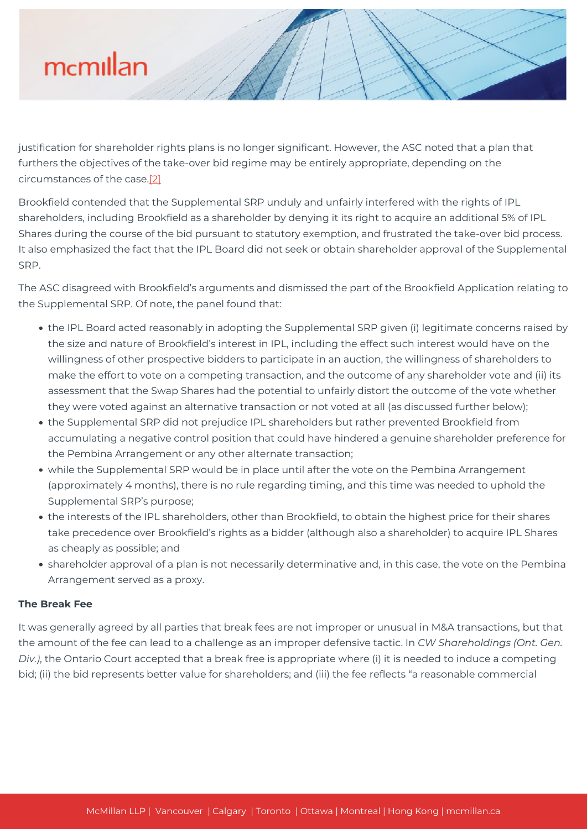justification for shareholder rights plans is no longer significant. However, the ASC noted that a plan that furthers the objectives of the take-over bid regime may be entirely appropriate, depending on the circumstances of the case[.\[2\]](#page--1-0)

Brookfield contended that the Supplemental SRP unduly and unfairly interfered with the rights of IPL shareholders, including Brookfield as a shareholder by denying it its right to acquire an additional 5% of IPL Shares during the course of the bid pursuant to statutory exemption, and frustrated the take-over bid process. It also emphasized the fact that the IPL Board did not seek or obtain shareholder approval of the Supplemental SRP.

The ASC disagreed with Brookfield's arguments and dismissed the part of the Brookfield Application relating to the Supplemental SRP. Of note, the panel found that:

- the IPL Board acted reasonably in adopting the Supplemental SRP given (i) legitimate concerns raised by the size and nature of Brookfield's interest in IPL, including the effect such interest would have on the willingness of other prospective bidders to participate in an auction, the willingness of shareholders to make the effort to vote on a competing transaction, and the outcome of any shareholder vote and (ii) its assessment that the Swap Shares had the potential to unfairly distort the outcome of the vote whether they were voted against an alternative transaction or not voted at all (as discussed further below);
- the Supplemental SRP did not prejudice IPL shareholders but rather prevented Brookfield from accumulating a negative control position that could have hindered a genuine shareholder preference for the Pembina Arrangement or any other alternate transaction;
- while the Supplemental SRP would be in place until after the vote on the Pembina Arrangement (approximately 4 months), there is no rule regarding timing, and this time was needed to uphold the Supplemental SRP's purpose;
- the interests of the IPL shareholders, other than Brookfield, to obtain the highest price for their shares take precedence over Brookfield's rights as a bidder (although also a shareholder) to acquire IPL Shares as cheaply as possible; and
- shareholder approval of a plan is not necessarily determinative and, in this case, the vote on the Pembina Arrangement served as a proxy.

### **The Break Fee**

It was generally agreed by all parties that break fees are not improper or unusual in M&A transactions, but that the amount of the fee can lead to a challenge as an improper defensive tactic. In *CW Shareholdings (Ont. Gen. Div.)*, the Ontario Court accepted that a break free is appropriate where (i) it is needed to induce a competing bid; (ii) the bid represents better value for shareholders; and (iii) the fee reflects "a reasonable commercial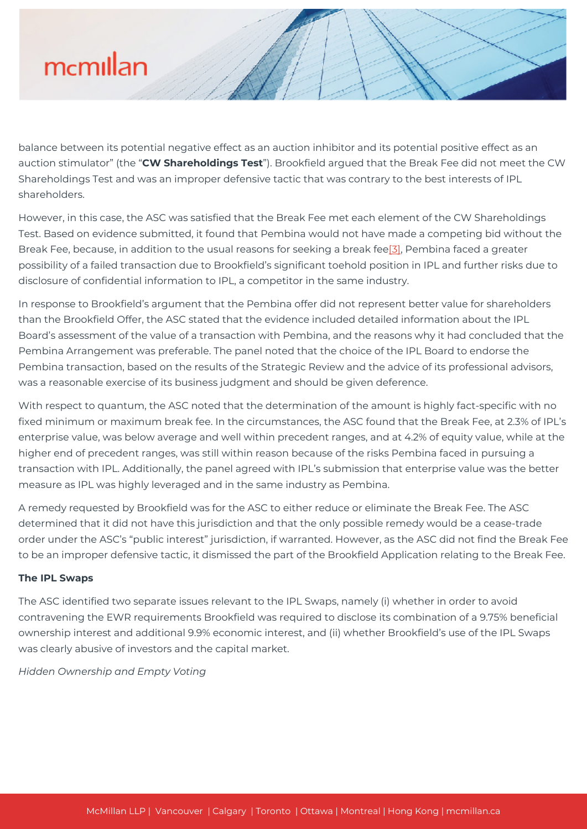balance between its potential negative effect as an auction inhibitor and its potential positive effect as an auction stimulator" (the "**CW Shareholdings Test**"). Brookfield argued that the Break Fee did not meet the CW Shareholdings Test and was an improper defensive tactic that was contrary to the best interests of IPL shareholders.

However, in this case, the ASC was satisfied that the Break Fee met each element of the CW Shareholdings Test. Based on evidence submitted, it found that Pembina would not have made a competing bid without the Break Fee, because, in addition to the usual reasons for seeking a break fee<sup>[3]</sup>, Pembina faced a greater possibility of a failed transaction due to Brookfield's significant toehold position in IPL and further risks due to disclosure of confidential information to IPL, a competitor in the same industry.

In response to Brookfield's argument that the Pembina offer did not represent better value for shareholders than the Brookfield Offer, the ASC stated that the evidence included detailed information about the IPL Board's assessment of the value of a transaction with Pembina, and the reasons why it had concluded that the Pembina Arrangement was preferable. The panel noted that the choice of the IPL Board to endorse the Pembina transaction, based on the results of the Strategic Review and the advice of its professional advisors, was a reasonable exercise of its business judgment and should be given deference.

With respect to quantum, the ASC noted that the determination of the amount is highly fact-specific with no fixed minimum or maximum break fee. In the circumstances, the ASC found that the Break Fee, at 2.3% of IPL's enterprise value, was below average and well within precedent ranges, and at 4.2% of equity value, while at the higher end of precedent ranges, was still within reason because of the risks Pembina faced in pursuing a transaction with IPL. Additionally, the panel agreed with IPL's submission that enterprise value was the better measure as IPL was highly leveraged and in the same industry as Pembina.

A remedy requested by Brookfield was for the ASC to either reduce or eliminate the Break Fee. The ASC determined that it did not have this jurisdiction and that the only possible remedy would be a cease-trade order under the ASC's "public interest" jurisdiction, if warranted. However, as the ASC did not find the Break Fee to be an improper defensive tactic, it dismissed the part of the Brookfield Application relating to the Break Fee.

### **The IPL Swaps**

The ASC identified two separate issues relevant to the IPL Swaps, namely (i) whether in order to avoid contravening the EWR requirements Brookfield was required to disclose its combination of a 9.75% beneficial ownership interest and additional 9.9% economic interest, and (ii) whether Brookfield's use of the IPL Swaps was clearly abusive of investors and the capital market.

*Hidden Ownership and Empty Voting*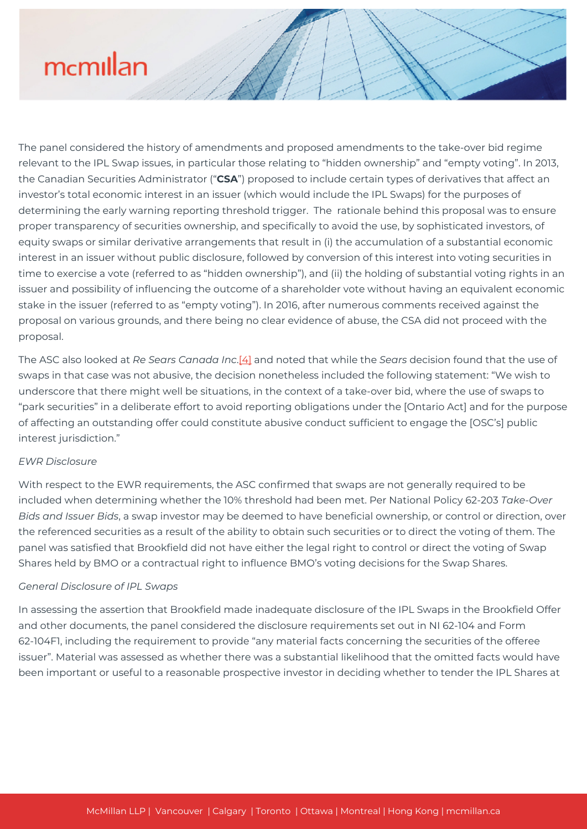The panel considered the history of amendments and proposed amendments to the take-over bid regime relevant to the IPL Swap issues, in particular those relating to "hidden ownership" and "empty voting". In 2013, the Canadian Securities Administrator ("**CSA**") proposed to include certain types of derivatives that affect an investor's total economic interest in an issuer (which would include the IPL Swaps) for the purposes of determining the early warning reporting threshold trigger. The rationale behind this proposal was to ensure proper transparency of securities ownership, and specifically to avoid the use, by sophisticated investors, of equity swaps or similar derivative arrangements that result in (i) the accumulation of a substantial economic interest in an issuer without public disclosure, followed by conversion of this interest into voting securities in time to exercise a vote (referred to as "hidden ownership"), and (ii) the holding of substantial voting rights in an issuer and possibility of influencing the outcome of a shareholder vote without having an equivalent economic stake in the issuer (referred to as "empty voting"). In 2016, after numerous comments received against the proposal on various grounds, and there being no clear evidence of abuse, the CSA did not proceed with the proposal.

The ASC also looked at *Re Sears Canada Inc*[.\[4\]](#page--1-0) and noted that while the *Sears* decision found that the use of swaps in that case was not abusive, the decision nonetheless included the following statement: "We wish to underscore that there might well be situations, in the context of a take-over bid, where the use of swaps to "park securities" in a deliberate effort to avoid reporting obligations under the [Ontario Act] and for the purpose of affecting an outstanding offer could constitute abusive conduct sufficient to engage the [OSC's] public interest jurisdiction."

#### *EWR Disclosure*

With respect to the EWR requirements, the ASC confirmed that swaps are not generally required to be included when determining whether the 10% threshold had been met. Per National Policy 62-203 *Take-Over Bids and Issuer Bids*, a swap investor may be deemed to have beneficial ownership, or control or direction, over the referenced securities as a result of the ability to obtain such securities or to direct the voting of them. The panel was satisfied that Brookfield did not have either the legal right to control or direct the voting of Swap Shares held by BMO or a contractual right to influence BMO's voting decisions for the Swap Shares.

#### *General Disclosure of IPL Swaps*

In assessing the assertion that Brookfield made inadequate disclosure of the IPL Swaps in the Brookfield Offer and other documents, the panel considered the disclosure requirements set out in NI 62-104 and Form 62-104F1, including the requirement to provide "any material facts concerning the securities of the offeree issuer". Material was assessed as whether there was a substantial likelihood that the omitted facts would have been important or useful to a reasonable prospective investor in deciding whether to tender the IPL Shares at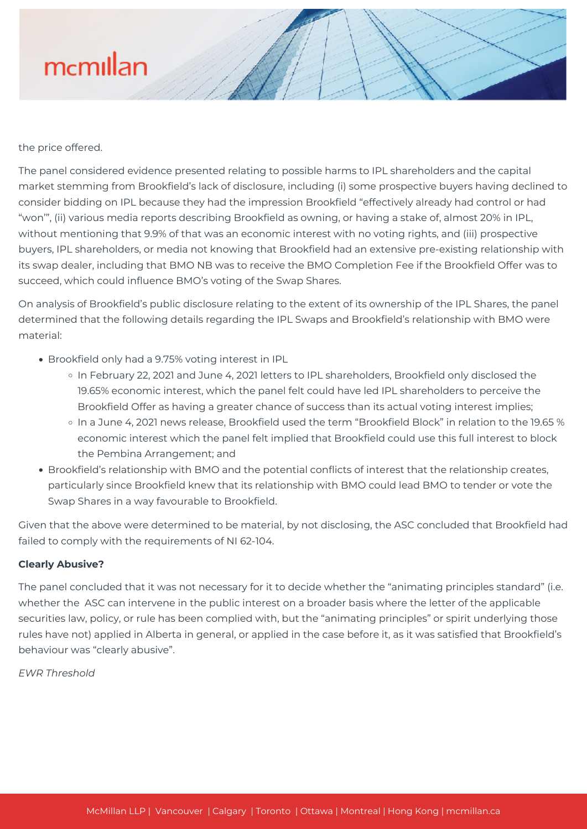the price offered.

The panel considered evidence presented relating to possible harms to IPL shareholders and the capital market stemming from Brookfield's lack of disclosure, including (i) some prospective buyers having declined to consider bidding on IPL because they had the impression Brookfield "effectively already had control or had "won'", (ii) various media reports describing Brookfield as owning, or having a stake of, almost 20% in IPL, without mentioning that 9.9% of that was an economic interest with no voting rights, and (iii) prospective buyers, IPL shareholders, or media not knowing that Brookfield had an extensive pre-existing relationship with its swap dealer, including that BMO NB was to receive the BMO Completion Fee if the Brookfield Offer was to succeed, which could influence BMO's voting of the Swap Shares.

On analysis of Brookfield's public disclosure relating to the extent of its ownership of the IPL Shares, the panel determined that the following details regarding the IPL Swaps and Brookfield's relationship with BMO were material:

- Brookfield only had a 9.75% voting interest in IPL
	- In February 22, 2021 and June 4, 2021 letters to IPL shareholders, Brookfield only disclosed the 19.65% economic interest, which the panel felt could have led IPL shareholders to perceive the Brookfield Offer as having a greater chance of success than its actual voting interest implies;
	- In a June 4, 2021 news release, Brookfield used the term "Brookfield Block" in relation to the 19.65 % economic interest which the panel felt implied that Brookfield could use this full interest to block the Pembina Arrangement; and
- Brookfield's relationship with BMO and the potential conflicts of interest that the relationship creates, particularly since Brookfield knew that its relationship with BMO could lead BMO to tender or vote the Swap Shares in a way favourable to Brookfield.

Given that the above were determined to be material, by not disclosing, the ASC concluded that Brookfield had failed to comply with the requirements of NI 62-104.

#### **Clearly Abusive?**

The panel concluded that it was not necessary for it to decide whether the "animating principles standard" (i.e. whether the ASC can intervene in the public interest on a broader basis where the letter of the applicable securities law, policy, or rule has been complied with, but the "animating principles" or spirit underlying those rules have not) applied in Alberta in general, or applied in the case before it, as it was satisfied that Brookfield's behaviour was "clearly abusive".

*EWR Threshold*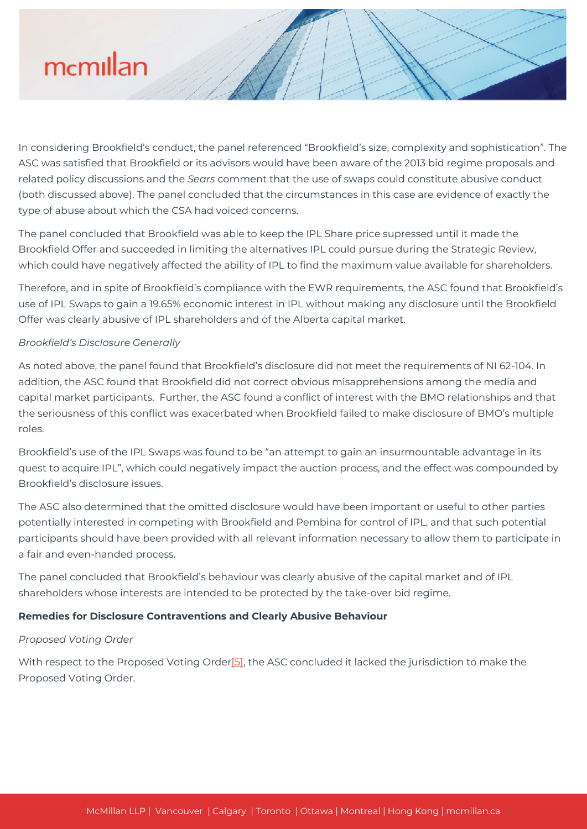In considering Brookfield's conduct, the panel referenced "Brookfield's size, complexity and sophistication". The ASC was satisfied that Brookfield or its advisors would have been aware of the 2013 bid regime proposals and related policy discussions and the *Sears* comment that the use of swaps could constitute abusive conduct (both discussed above). The panel concluded that the circumstances in this case are evidence of exactly the type of abuse about which the CSA had voiced concerns.

The panel concluded that Brookfield was able to keep the IPL Share price supressed until it made the Brookfield Offer and succeeded in limiting the alternatives IPL could pursue during the Strategic Review, which could have negatively affected the ability of IPL to find the maximum value available for shareholders.

Therefore, and in spite of Brookfield's compliance with the EWR requirements, the ASC found that Brookfield's use of IPL Swaps to gain a 19.65% economic interest in IPL without making any disclosure until the Brookfield Offer was clearly abusive of IPL shareholders and of the Alberta capital market.

### *Brookfield's Disclosure Generally*

As noted above, the panel found that Brookfield's disclosure did not meet the requirements of NI 62-104. In addition, the ASC found that Brookfield did not correct obvious misapprehensions among the media and capital market participants. Further, the ASC found a conflict of interest with the BMO relationships and that the seriousness of this conflict was exacerbated when Brookfield failed to make disclosure of BMO's multiple roles.

Brookfield's use of the IPL Swaps was found to be "an attempt to gain an insurmountable advantage in its quest to acquire IPL", which could negatively impact the auction process, and the effect was compounded by Brookfield's disclosure issues.

The ASC also determined that the omitted disclosure would have been important or useful to other parties potentially interested in competing with Brookfield and Pembina for control of IPL, and that such potential participants should have been provided with all relevant information necessary to allow them to participate in a fair and even-handed process.

The panel concluded that Brookfield's behaviour was clearly abusive of the capital market and of IPL shareholders whose interests are intended to be protected by the take-over bid regime.

### **Remedies for Disclosure Contraventions and Clearly Abusive Behaviour**

### *Proposed Voting Order*

With respect to the Proposed Voting Order<sup>[5]</sup>, the ASC concluded it lacked the jurisdiction to make the Proposed Voting Order.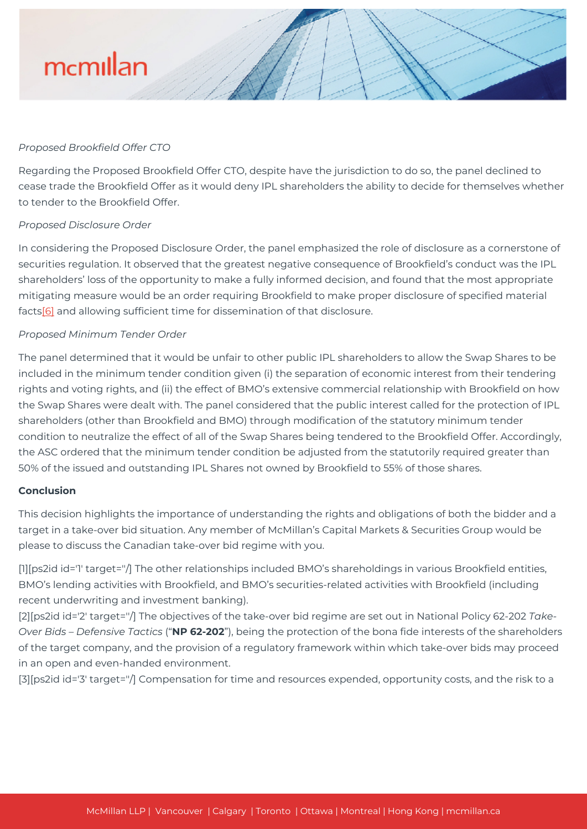#### *Proposed Brookfield Offer CTO*

Regarding the Proposed Brookfield Offer CTO, despite have the jurisdiction to do so, the panel declined to cease trade the Brookfield Offer as it would deny IPL shareholders the ability to decide for themselves whether to tender to the Brookfield Offer.

#### *Proposed Disclosure Order*

In considering the Proposed Disclosure Order, the panel emphasized the role of disclosure as a cornerstone of securities regulation. It observed that the greatest negative consequence of Brookfield's conduct was the IPL shareholders' loss of the opportunity to make a fully informed decision, and found that the most appropriate mitigating measure would be an order requiring Brookfield to make proper disclosure of specified material facts[\[6\]](#page--1-0) and allowing sufficient time for dissemination of that disclosure.

#### *Proposed Minimum Tender Order*

The panel determined that it would be unfair to other public IPL shareholders to allow the Swap Shares to be included in the minimum tender condition given (i) the separation of economic interest from their tendering rights and voting rights, and (ii) the effect of BMO's extensive commercial relationship with Brookfield on how the Swap Shares were dealt with. The panel considered that the public interest called for the protection of IPL shareholders (other than Brookfield and BMO) through modification of the statutory minimum tender condition to neutralize the effect of all of the Swap Shares being tendered to the Brookfield Offer. Accordingly, the ASC ordered that the minimum tender condition be adjusted from the statutorily required greater than 50% of the issued and outstanding IPL Shares not owned by Brookfield to 55% of those shares.

### **Conclusion**

This decision highlights the importance of understanding the rights and obligations of both the bidder and a target in a take-over bid situation. Any member of McMillan's Capital Markets & Securities Group would be please to discuss the Canadian take-over bid regime with you.

[1][ps2id id='1' target=''/] The other relationships included BMO's shareholdings in various Brookfield entities, BMO's lending activities with Brookfield, and BMO's securities-related activities with Brookfield (including recent underwriting and investment banking).

[2][ps2id id='2' target=''/] The objectives of the take-over bid regime are set out in National Policy 62-202 *Take-Over Bids – Defensive Tactics* ("**NP 62-202**"), being the protection of the bona fide interests of the shareholders of the target company, and the provision of a regulatory framework within which take-over bids may proceed in an open and even-handed environment.

[3][ps2id id='3' target=''/] Compensation for time and resources expended, opportunity costs, and the risk to a